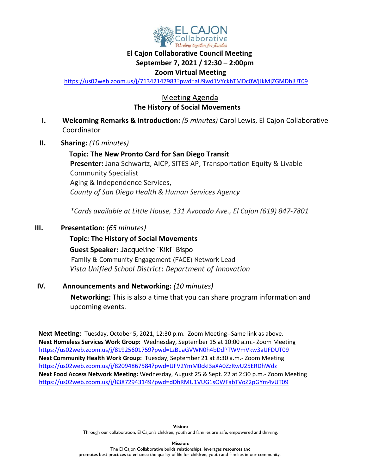

# **El Cajon Collaborative Council Meeting September 7, 2021 / 12:30 – 2:00pm**

#### **Zoom Virtual Meeting**

<https://us02web.zoom.us/j/71342147983?pwd=aU9wd1VYckhTMDc0WjJkMjZGMDhjUT09>

## Meeting Agenda  **The History of Social Movements**

- **I. Welcoming Remarks & Introduction:** *(5 minutes)* Carol Lewis, El Cajon Collaborative Coordinator
- **II. Sharing:** *(10 minutes)*

**Topic: The New Pronto Card for San Diego Transit Presenter:** Jana Schwartz, AICP, SITES AP, Transportation Equity & Livable Community Specialist Aging & Independence Services, *County of San Diego Health & Human Services Agency*

*\*Cards available at Little House, 131 Avocado Ave., El Cajon (619) 847-7801*

## **III. Presentation:** *(65 minutes)*

## **Topic: The History of Social Movements**

 **Guest Speaker:** Jacqueline "Kiki" Bispo Family & Community Engagement (FACE) Network Lead *Vista Unified School District: Department of Innovation*

# **IV. Announcements and Networking:** *(10 minutes)*  **Networking:** This is also a time that you can share program information and upcoming events.

 **Next Meeting:** Tuesday, October 5, 2021, 12:30 p.m. Zoom Meeting--Same link as above. **Next Homeless Services Work Group:** Wednesday, September 15 at 10:00 a.m.- Zoom Meeting <https://us02web.zoom.us/j/81925601759?pwd=LzBuaGVWN0h4bDdPTWVmVkw3aUFDUT09> **Next Community Health Work Group:** Tuesday, September 21 at 8:30 a.m.- Zoom Meeting <https://us02web.zoom.us/j/82094867584?pwd=UFV2YmM0ckI3aXA0ZzRwU25ERDhWdz> **Next Food Access Network Meeting:** Wednesday, August 25 & Sept. 22 at 2:30 p.m.- Zoom Meeting <https://us02web.zoom.us/j/83872943149?pwd=dDhRMU1VUG1sOWFabTVoZ2pGYm4vUT09>

> **Vision:**  Through our collaboration, El Cajon's children, youth and families are safe, empowered and thriving.

**Mission:** The El Cajon Collaborative builds relationships, leverages resources and promotes best practices to enhance the quality of life for children, youth and families in our community.